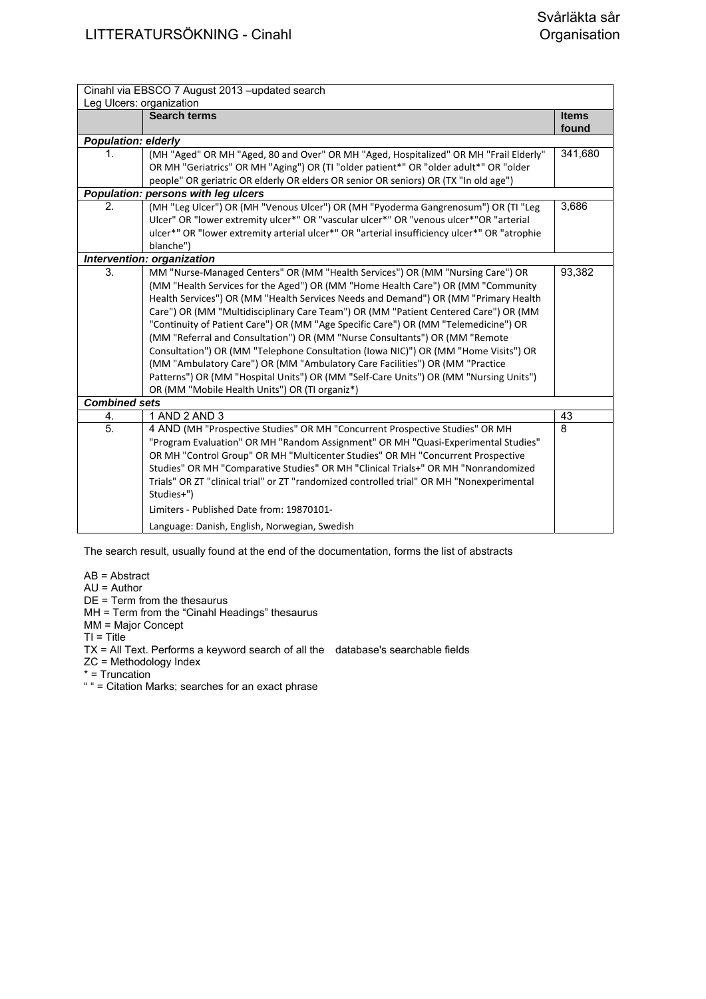| Cinahl via EBSCO 7 August 2013 -updated search |                                                                                              |              |
|------------------------------------------------|----------------------------------------------------------------------------------------------|--------------|
|                                                | Leg Ulcers: organization                                                                     |              |
|                                                | <b>Search terms</b>                                                                          | <b>Items</b> |
|                                                |                                                                                              | found        |
| <b>Population: elderly</b>                     |                                                                                              |              |
| 1.                                             | (MH "Aged" OR MH "Aged, 80 and Over" OR MH "Aged, Hospitalized" OR MH "Frail Elderly"        | 341,680      |
|                                                | OR MH "Geriatrics" OR MH "Aging") OR (TI "older patient*" OR "older adult*" OR "older        |              |
|                                                | people" OR geriatric OR elderly OR elders OR senior OR seniors) OR (TX "In old age")         |              |
|                                                | Population: persons with leg ulcers                                                          |              |
| 2.                                             | (MH "Leg Ulcer") OR (MH "Venous Ulcer") OR (MH "Pyoderma Gangrenosum") OR (TI "Leg           | 3,686        |
|                                                | Ulcer" OR "lower extremity ulcer*" OR "vascular ulcer*" OR "venous ulcer*"OR "arterial       |              |
|                                                | ulcer*" OR "lower extremity arterial ulcer*" OR "arterial insufficiency ulcer*" OR "atrophie |              |
|                                                | blanche")                                                                                    |              |
|                                                | Intervention: organization                                                                   |              |
| 3.                                             | MM "Nurse-Managed Centers" OR (MM "Health Services") OR (MM "Nursing Care") OR               | 93,382       |
|                                                | (MM "Health Services for the Aged") OR (MM "Home Health Care") OR (MM "Community             |              |
|                                                | Health Services") OR (MM "Health Services Needs and Demand") OR (MM "Primary Health          |              |
|                                                | Care") OR (MM "Multidisciplinary Care Team") OR (MM "Patient Centered Care") OR (MM          |              |
|                                                | "Continuity of Patient Care") OR (MM "Age Specific Care") OR (MM "Telemedicine") OR          |              |
|                                                | (MM "Referral and Consultation") OR (MM "Nurse Consultants") OR (MM "Remote                  |              |
|                                                | Consultation") OR (MM "Telephone Consultation (Iowa NIC)") OR (MM "Home Visits") OR          |              |
|                                                | (MM "Ambulatory Care") OR (MM "Ambulatory Care Facilities") OR (MM "Practice                 |              |
|                                                | Patterns") OR (MM "Hospital Units") OR (MM "Self-Care Units") OR (MM "Nursing Units")        |              |
|                                                | OR (MM "Mobile Health Units") OR (TI organiz*)                                               |              |
| <b>Combined sets</b>                           |                                                                                              |              |
| 4.                                             | 1 AND 2 AND 3                                                                                | 43           |
| 5.                                             | 4 AND (MH "Prospective Studies" OR MH "Concurrent Prospective Studies" OR MH                 | 8            |
|                                                | "Program Evaluation" OR MH "Random Assignment" OR MH "Quasi-Experimental Studies"            |              |
|                                                | OR MH "Control Group" OR MH "Multicenter Studies" OR MH "Concurrent Prospective              |              |
|                                                | Studies" OR MH "Comparative Studies" OR MH "Clinical Trials+" OR MH "Nonrandomized           |              |
|                                                | Trials" OR ZT "clinical trial" or ZT "randomized controlled trial" OR MH "Nonexperimental    |              |
|                                                | Studies+")                                                                                   |              |
|                                                | Limiters - Published Date from: 19870101-                                                    |              |
|                                                | Language: Danish, English, Norwegian, Swedish                                                |              |

AB = Abstract

AU = Author

DE = Term from the thesaurus

MH = Term from the "Cinahl Headings" thesaurus

MM = Major Concept

 $TI = Title$ 

TX = All Text. Performs a keyword search of all the database's searchable fields

ZC = Methodology Index

\* = Truncation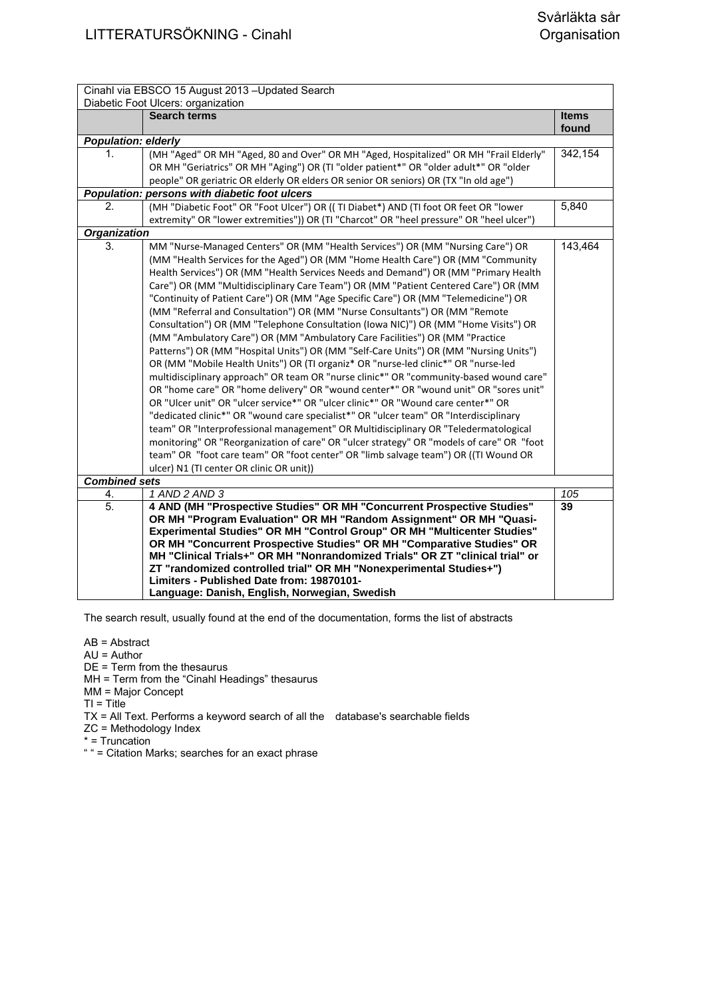|                            | Cinahl via EBSCO 15 August 2013 - Updated Search                                                                                                      |                       |
|----------------------------|-------------------------------------------------------------------------------------------------------------------------------------------------------|-----------------------|
|                            | Diabetic Foot Ulcers: organization                                                                                                                    |                       |
|                            | <b>Search terms</b>                                                                                                                                   | <b>Items</b><br>found |
| <b>Population: elderly</b> |                                                                                                                                                       |                       |
| 1.                         | (MH "Aged" OR MH "Aged, 80 and Over" OR MH "Aged, Hospitalized" OR MH "Frail Elderly"                                                                 | 342,154               |
|                            | OR MH "Geriatrics" OR MH "Aging") OR (TI "older patient*" OR "older adult*" OR "older                                                                 |                       |
|                            | people" OR geriatric OR elderly OR elders OR senior OR seniors) OR (TX "In old age")                                                                  |                       |
|                            | Population: persons with diabetic foot ulcers                                                                                                         |                       |
| 2.                         | (MH "Diabetic Foot" OR "Foot Ulcer") OR ((TI Diabet*) AND (TI foot OR feet OR "lower                                                                  | 5,840                 |
|                            | extremity" OR "lower extremities")) OR (TI "Charcot" OR "heel pressure" OR "heel ulcer")                                                              |                       |
| <b>Organization</b>        |                                                                                                                                                       |                       |
| 3.                         | MM "Nurse-Managed Centers" OR (MM "Health Services") OR (MM "Nursing Care") OR                                                                        | 143,464               |
|                            | (MM "Health Services for the Aged") OR (MM "Home Health Care") OR (MM "Community                                                                      |                       |
|                            | Health Services") OR (MM "Health Services Needs and Demand") OR (MM "Primary Health                                                                   |                       |
|                            | Care") OR (MM "Multidisciplinary Care Team") OR (MM "Patient Centered Care") OR (MM                                                                   |                       |
|                            | "Continuity of Patient Care") OR (MM "Age Specific Care") OR (MM "Telemedicine") OR                                                                   |                       |
|                            | (MM "Referral and Consultation") OR (MM "Nurse Consultants") OR (MM "Remote                                                                           |                       |
|                            | Consultation") OR (MM "Telephone Consultation (Iowa NIC)") OR (MM "Home Visits") OR                                                                   |                       |
|                            | (MM "Ambulatory Care") OR (MM "Ambulatory Care Facilities") OR (MM "Practice                                                                          |                       |
|                            | Patterns") OR (MM "Hospital Units") OR (MM "Self-Care Units") OR (MM "Nursing Units")                                                                 |                       |
|                            | OR (MM "Mobile Health Units") OR (TI organiz* OR "nurse-led clinic*" OR "nurse-led                                                                    |                       |
|                            | multidisciplinary approach" OR team OR "nurse clinic*" OR "community-based wound care"                                                                |                       |
|                            | OR "home care" OR "home delivery" OR "wound center*" OR "wound unit" OR "sores unit"                                                                  |                       |
|                            | OR "Ulcer unit" OR "ulcer service*" OR "ulcer clinic*" OR "Wound care center*" OR                                                                     |                       |
|                            | "dedicated clinic*" OR "wound care specialist*" OR "ulcer team" OR "Interdisciplinary                                                                 |                       |
|                            | team" OR "Interprofessional management" OR Multidisciplinary OR "Teledermatological                                                                   |                       |
|                            | monitoring" OR "Reorganization of care" OR "ulcer strategy" OR "models of care" OR "foot                                                              |                       |
|                            | team" OR "foot care team" OR "foot center" OR "limb salvage team") OR ((TI Wound OR                                                                   |                       |
|                            | ulcer) N1 (TI center OR clinic OR unit))                                                                                                              |                       |
| <b>Combined sets</b>       |                                                                                                                                                       |                       |
| 4.                         | 1 AND 2 AND 3                                                                                                                                         | 105                   |
| 5.                         | 4 AND (MH "Prospective Studies" OR MH "Concurrent Prospective Studies"                                                                                | 39                    |
|                            | OR MH "Program Evaluation" OR MH "Random Assignment" OR MH "Quasi-                                                                                    |                       |
|                            | Experimental Studies" OR MH "Control Group" OR MH "Multicenter Studies"                                                                               |                       |
|                            | OR MH "Concurrent Prospective Studies" OR MH "Comparative Studies" OR<br>MH "Clinical Trials+" OR MH "Nonrandomized Trials" OR ZT "clinical trial" or |                       |
|                            | ZT "randomized controlled trial" OR MH "Nonexperimental Studies+")                                                                                    |                       |
|                            | Limiters - Published Date from: 19870101-                                                                                                             |                       |
|                            | Language: Danish, English, Norwegian, Swedish                                                                                                         |                       |
|                            |                                                                                                                                                       |                       |

AB = Abstract

AU = Author

DE = Term from the thesaurus

MH = Term from the "Cinahl Headings" thesaurus

MM = Major Concept

 $TI = Title$ 

TX = All Text. Performs a keyword search of all the database's searchable fields

ZC = Methodology Index

\* = Truncation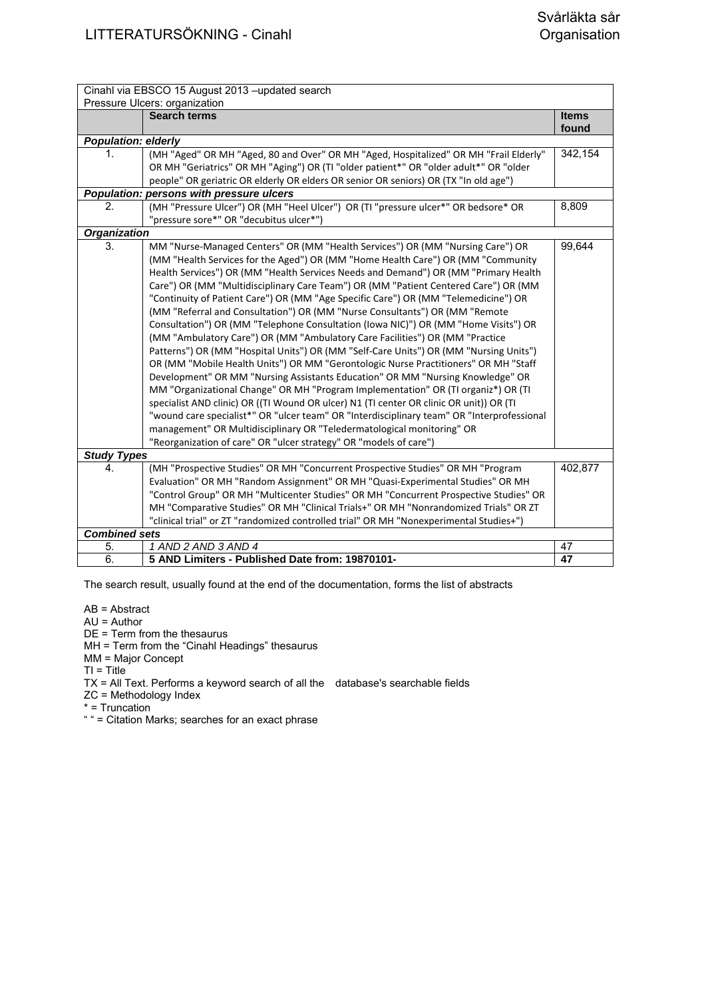| Cinahl via EBSCO 15 August 2013 -updated search |                                                                                            |                       |
|-------------------------------------------------|--------------------------------------------------------------------------------------------|-----------------------|
| Pressure Ulcers: organization                   |                                                                                            |                       |
|                                                 | <b>Search terms</b>                                                                        | <b>Items</b><br>found |
| <b>Population: elderly</b>                      |                                                                                            |                       |
| $\mathbf{1}$ .                                  | (MH "Aged" OR MH "Aged, 80 and Over" OR MH "Aged, Hospitalized" OR MH "Frail Elderly"      | 342,154               |
|                                                 | OR MH "Geriatrics" OR MH "Aging") OR (TI "older patient*" OR "older adult*" OR "older      |                       |
|                                                 | people" OR geriatric OR elderly OR elders OR senior OR seniors) OR (TX "In old age")       |                       |
|                                                 | Population: persons with pressure ulcers                                                   |                       |
| $\overline{2}$ .                                | (MH "Pressure Ulcer") OR (MH "Heel Ulcer") OR (TI "pressure ulcer*" OR bedsore* OR         | 8,809                 |
|                                                 | "pressure sore*" OR "decubitus ulcer*")                                                    |                       |
| <b>Organization</b>                             |                                                                                            |                       |
| 3.                                              | MM "Nurse-Managed Centers" OR (MM "Health Services") OR (MM "Nursing Care") OR             | 99,644                |
|                                                 | (MM "Health Services for the Aged") OR (MM "Home Health Care") OR (MM "Community           |                       |
|                                                 | Health Services") OR (MM "Health Services Needs and Demand") OR (MM "Primary Health        |                       |
|                                                 | Care") OR (MM "Multidisciplinary Care Team") OR (MM "Patient Centered Care") OR (MM        |                       |
|                                                 | "Continuity of Patient Care") OR (MM "Age Specific Care") OR (MM "Telemedicine") OR        |                       |
|                                                 | (MM "Referral and Consultation") OR (MM "Nurse Consultants") OR (MM "Remote                |                       |
|                                                 | Consultation") OR (MM "Telephone Consultation (Iowa NIC)") OR (MM "Home Visits") OR        |                       |
|                                                 | (MM "Ambulatory Care") OR (MM "Ambulatory Care Facilities") OR (MM "Practice               |                       |
|                                                 | Patterns") OR (MM "Hospital Units") OR (MM "Self-Care Units") OR (MM "Nursing Units")      |                       |
|                                                 | OR (MM "Mobile Health Units") OR MM "Gerontologic Nurse Practitioners" OR MH "Staff        |                       |
|                                                 | Development" OR MM "Nursing Assistants Education" OR MM "Nursing Knowledge" OR             |                       |
|                                                 | MM "Organizational Change" OR MH "Program Implementation" OR (TI organiz*) OR (TI          |                       |
|                                                 | specialist AND clinic) OR ((TI Wound OR ulcer) N1 (TI center OR clinic OR unit)) OR (TI    |                       |
|                                                 | "wound care specialist*" OR "ulcer team" OR "Interdisciplinary team" OR "Interprofessional |                       |
|                                                 | management" OR Multidisciplinary OR "Teledermatological monitoring" OR                     |                       |
|                                                 | "Reorganization of care" OR "ulcer strategy" OR "models of care")                          |                       |
| <b>Study Types</b>                              |                                                                                            |                       |
| 4.                                              | (MH "Prospective Studies" OR MH "Concurrent Prospective Studies" OR MH "Program            | 402,877               |
|                                                 | Evaluation" OR MH "Random Assignment" OR MH "Quasi-Experimental Studies" OR MH             |                       |
|                                                 | "Control Group" OR MH "Multicenter Studies" OR MH "Concurrent Prospective Studies" OR      |                       |
|                                                 | MH "Comparative Studies" OR MH "Clinical Trials+" OR MH "Nonrandomized Trials" OR ZT       |                       |
|                                                 | "clinical trial" or ZT "randomized controlled trial" OR MH "Nonexperimental Studies+")     |                       |
| <b>Combined sets</b>                            |                                                                                            |                       |
| 5.                                              | 1 AND 2 AND 3 AND 4                                                                        | 47                    |
| 6.                                              | 5 AND Limiters - Published Date from: 19870101-                                            | 47                    |

AB = Abstract

AU = Author

DE = Term from the thesaurus

MH = Term from the "Cinahl Headings" thesaurus

MM = Major Concept

 $TI = Title$ 

TX = All Text. Performs a keyword search of all the database's searchable fields

ZC = Methodology Index

\* = Truncation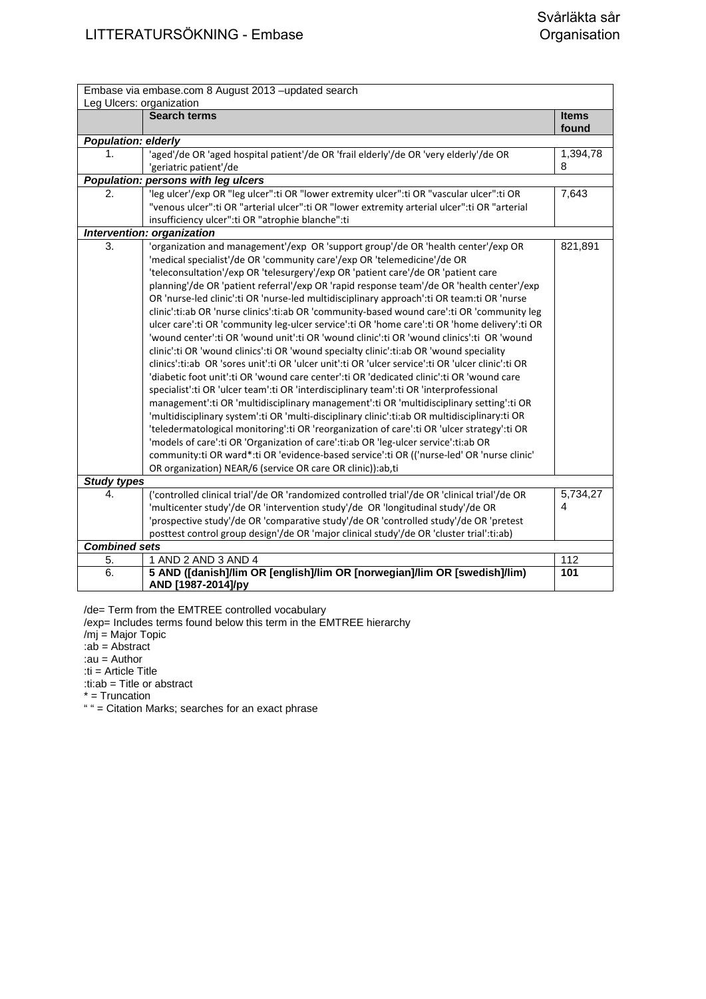| Leg Ulcers: organization   | Embase via embase.com 8 August 2013 - updated search                                               |              |
|----------------------------|----------------------------------------------------------------------------------------------------|--------------|
|                            | <b>Search terms</b>                                                                                | <b>Items</b> |
|                            |                                                                                                    | found        |
| <b>Population: elderly</b> |                                                                                                    |              |
| 1.                         | 'aged'/de OR 'aged hospital patient'/de OR 'frail elderly'/de OR 'very elderly'/de OR              | 1,394,78     |
|                            | 'geriatric patient'/de                                                                             | 8            |
|                            | Population: persons with leg ulcers                                                                |              |
| 2.                         | 'leg ulcer'/exp OR "leg ulcer":ti OR "lower extremity ulcer":ti OR "vascular ulcer":ti OR          | 7,643        |
|                            | "venous ulcer":ti OR "arterial ulcer":ti OR "lower extremity arterial ulcer":ti OR "arterial       |              |
|                            | insufficiency ulcer":ti OR "atrophie blanche":ti                                                   |              |
|                            | Intervention: organization                                                                         |              |
| 3.                         | 'organization and management'/exp OR 'support group'/de OR 'health center'/exp OR                  | 821,891      |
|                            | 'medical specialist'/de OR 'community care'/exp OR 'telemedicine'/de OR                            |              |
|                            | 'teleconsultation'/exp OR 'telesurgery'/exp OR 'patient care'/de OR 'patient care                  |              |
|                            | planning'/de OR 'patient referral'/exp OR 'rapid response team'/de OR 'health center'/exp          |              |
|                            | OR 'nurse-led clinic':ti OR 'nurse-led multidisciplinary approach':ti OR team:ti OR 'nurse         |              |
|                            | clinic':ti:ab OR 'nurse clinics':ti:ab OR 'community-based wound care':ti OR 'community leg        |              |
|                            | ulcer care':ti OR 'community leg-ulcer service':ti OR 'home care':ti OR 'home delivery':ti OR      |              |
|                            | 'wound center':ti OR 'wound unit':ti OR 'wound clinic':ti OR 'wound clinics':ti OR 'wound          |              |
|                            | clinic':ti OR 'wound clinics':ti OR 'wound specialty clinic':ti:ab OR 'wound speciality            |              |
|                            | clinics':ti:ab OR 'sores unit':ti OR 'ulcer unit':ti OR 'ulcer service':ti OR 'ulcer clinic':ti OR |              |
|                            | 'diabetic foot unit':ti OR 'wound care center':ti OR 'dedicated clinic':ti OR 'wound care          |              |
|                            | specialist':ti OR 'ulcer team':ti OR 'interdisciplinary team':ti OR 'interprofessional             |              |
|                            | management':ti OR 'multidisciplinary management':ti OR 'multidisciplinary setting':ti OR           |              |
|                            | 'multidisciplinary system':ti OR 'multi-disciplinary clinic':ti:ab OR multidisciplinary:ti OR      |              |
|                            | 'teledermatological monitoring':ti OR 'reorganization of care':ti OR 'ulcer strategy':ti OR        |              |
|                            | 'models of care':ti OR 'Organization of care':ti:ab OR 'leg-ulcer service':ti:ab OR                |              |
|                            | community:ti OR ward*:ti OR 'evidence-based service':ti OR (('nurse-led' OR 'nurse clinic'         |              |
|                            | OR organization) NEAR/6 (service OR care OR clinic)):ab,ti                                         |              |
| <b>Study types</b>         |                                                                                                    |              |
| 4.                         | ('controlled clinical trial'/de OR 'randomized controlled trial'/de OR 'clinical trial'/de OR      | 5,734,27     |
|                            | 'multicenter study'/de OR 'intervention study'/de OR 'longitudinal study'/de OR                    | 4            |
|                            | 'prospective study'/de OR 'comparative study'/de OR 'controlled study'/de OR 'pretest              |              |
|                            | posttest control group design'/de OR 'major clinical study'/de OR 'cluster trial':ti:ab)           |              |
| <b>Combined sets</b>       |                                                                                                    |              |
| 5.                         | 1 AND 2 AND 3 AND 4                                                                                | 112          |
| 6.                         | 5 AND ([danish]/lim OR [english]/lim OR [norwegian]/lim OR [swedish]/lim)<br>AND [1987-2014]/py    | 101          |
|                            |                                                                                                    |              |

/de= Term from the EMTREE controlled vocabulary

/exp= Includes terms found below this term in the EMTREE hierarchy

/mj = Major Topic

:ab = Abstract

:au = Author

:ti = Article Title

:ti:ab = Title or abstract

\* = Truncation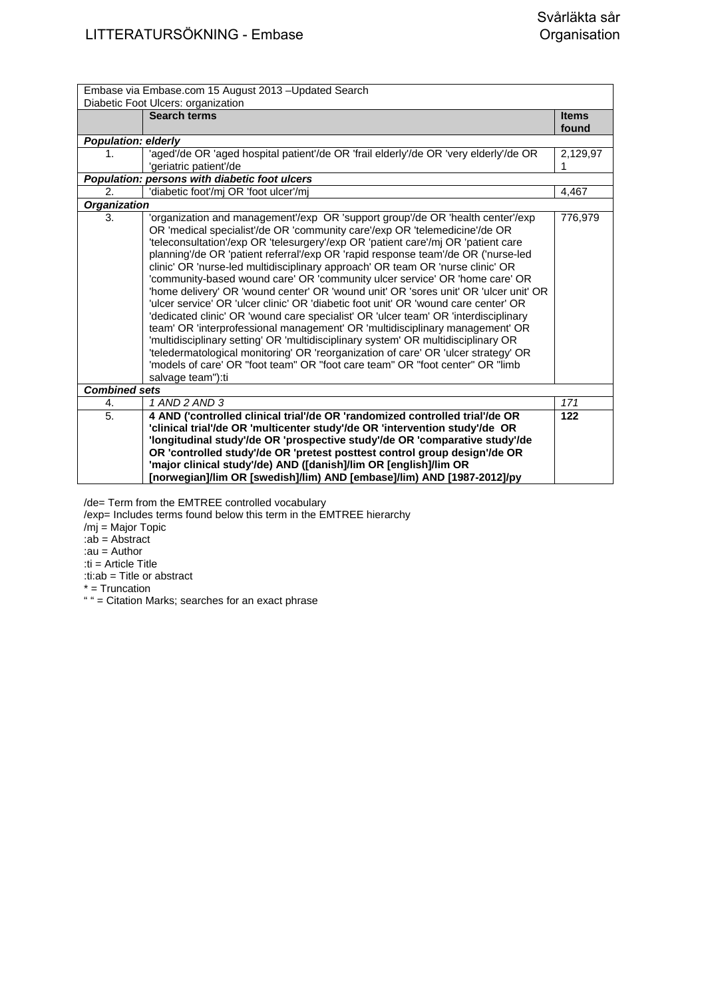| Embase via Embase.com 15 August 2013 - Updated Search |                                                                                                                                                                                                                                                                                                                                                                                                                                                                                                                                                                                                                                                                                                                                                                                                                                                                                                                                                                                                                                                                                                                                                |              |
|-------------------------------------------------------|------------------------------------------------------------------------------------------------------------------------------------------------------------------------------------------------------------------------------------------------------------------------------------------------------------------------------------------------------------------------------------------------------------------------------------------------------------------------------------------------------------------------------------------------------------------------------------------------------------------------------------------------------------------------------------------------------------------------------------------------------------------------------------------------------------------------------------------------------------------------------------------------------------------------------------------------------------------------------------------------------------------------------------------------------------------------------------------------------------------------------------------------|--------------|
| Diabetic Foot Ulcers: organization                    |                                                                                                                                                                                                                                                                                                                                                                                                                                                                                                                                                                                                                                                                                                                                                                                                                                                                                                                                                                                                                                                                                                                                                |              |
|                                                       | <b>Search terms</b>                                                                                                                                                                                                                                                                                                                                                                                                                                                                                                                                                                                                                                                                                                                                                                                                                                                                                                                                                                                                                                                                                                                            | <b>Items</b> |
|                                                       |                                                                                                                                                                                                                                                                                                                                                                                                                                                                                                                                                                                                                                                                                                                                                                                                                                                                                                                                                                                                                                                                                                                                                | found        |
| <b>Population: elderly</b>                            |                                                                                                                                                                                                                                                                                                                                                                                                                                                                                                                                                                                                                                                                                                                                                                                                                                                                                                                                                                                                                                                                                                                                                |              |
| 1.                                                    | 'aged'/de OR 'aged hospital patient'/de OR 'frail elderly'/de OR 'very elderly'/de OR                                                                                                                                                                                                                                                                                                                                                                                                                                                                                                                                                                                                                                                                                                                                                                                                                                                                                                                                                                                                                                                          | 2,129,97     |
|                                                       | 'geriatric patient'/de                                                                                                                                                                                                                                                                                                                                                                                                                                                                                                                                                                                                                                                                                                                                                                                                                                                                                                                                                                                                                                                                                                                         |              |
|                                                       | Population: persons with diabetic foot ulcers                                                                                                                                                                                                                                                                                                                                                                                                                                                                                                                                                                                                                                                                                                                                                                                                                                                                                                                                                                                                                                                                                                  |              |
| $\mathcal{P}_{\cdot}$                                 | 'diabetic foot'/mj OR 'foot ulcer'/mj                                                                                                                                                                                                                                                                                                                                                                                                                                                                                                                                                                                                                                                                                                                                                                                                                                                                                                                                                                                                                                                                                                          | 4,467        |
| <b>Organization</b>                                   |                                                                                                                                                                                                                                                                                                                                                                                                                                                                                                                                                                                                                                                                                                                                                                                                                                                                                                                                                                                                                                                                                                                                                |              |
| 3.                                                    | 'organization and management'/exp OR 'support group'/de OR 'health center'/exp<br>OR 'medical specialist'/de OR 'community care'/exp OR 'telemedicine'/de OR<br>'teleconsultation'/exp OR 'telesurgery'/exp OR 'patient care'/mj OR 'patient care<br>planning'/de OR 'patient referral'/exp OR 'rapid response team'/de OR ('nurse-led<br>clinic' OR 'nurse-led multidisciplinary approach' OR team OR 'nurse clinic' OR<br>'community-based wound care' OR 'community ulcer service' OR 'home care' OR<br>'home delivery' OR 'wound center' OR 'wound unit' OR 'sores unit' OR 'ulcer unit' OR<br>'ulcer service' OR 'ulcer clinic' OR 'diabetic foot unit' OR 'wound care center' OR<br>'dedicated clinic' OR 'wound care specialist' OR 'ulcer team' OR 'interdisciplinary<br>team' OR 'interprofessional management' OR 'multidisciplinary management' OR<br>'multidisciplinary setting' OR 'multidisciplinary system' OR multidisciplinary OR<br>'teledermatological monitoring' OR 'reorganization of care' OR 'ulcer strategy' OR<br>'models of care' OR "foot team" OR "foot care team" OR "foot center" OR "limb<br>salvage team"):ti | 776,979      |
| <b>Combined sets</b>                                  |                                                                                                                                                                                                                                                                                                                                                                                                                                                                                                                                                                                                                                                                                                                                                                                                                                                                                                                                                                                                                                                                                                                                                |              |
| 4.                                                    | 1 AND 2 AND 3                                                                                                                                                                                                                                                                                                                                                                                                                                                                                                                                                                                                                                                                                                                                                                                                                                                                                                                                                                                                                                                                                                                                  | 171          |
| 5.                                                    | 4 AND ('controlled clinical trial'/de OR 'randomized controlled trial'/de OR                                                                                                                                                                                                                                                                                                                                                                                                                                                                                                                                                                                                                                                                                                                                                                                                                                                                                                                                                                                                                                                                   | 122          |
|                                                       | 'clinical trial'/de OR 'multicenter study'/de OR 'intervention study'/de OR                                                                                                                                                                                                                                                                                                                                                                                                                                                                                                                                                                                                                                                                                                                                                                                                                                                                                                                                                                                                                                                                    |              |
|                                                       | 'longitudinal study'/de OR 'prospective study'/de OR 'comparative study'/de                                                                                                                                                                                                                                                                                                                                                                                                                                                                                                                                                                                                                                                                                                                                                                                                                                                                                                                                                                                                                                                                    |              |
|                                                       | OR 'controlled study'/de OR 'pretest posttest control group design'/de OR                                                                                                                                                                                                                                                                                                                                                                                                                                                                                                                                                                                                                                                                                                                                                                                                                                                                                                                                                                                                                                                                      |              |
|                                                       | 'major clinical study'/de) AND ([danish]/lim OR [english]/lim OR                                                                                                                                                                                                                                                                                                                                                                                                                                                                                                                                                                                                                                                                                                                                                                                                                                                                                                                                                                                                                                                                               |              |
|                                                       | [norwegian]/lim OR [swedish]/lim) AND [embase]/lim) AND [1987-2012]/py                                                                                                                                                                                                                                                                                                                                                                                                                                                                                                                                                                                                                                                                                                                                                                                                                                                                                                                                                                                                                                                                         |              |

/de= Term from the EMTREE controlled vocabulary

/exp= Includes terms found below this term in the EMTREE hierarchy

/mj = Major Topic

:ab = Abstract

:au = Author

:ti = Article Title

:ti:ab = Title or abstract

\* = Truncation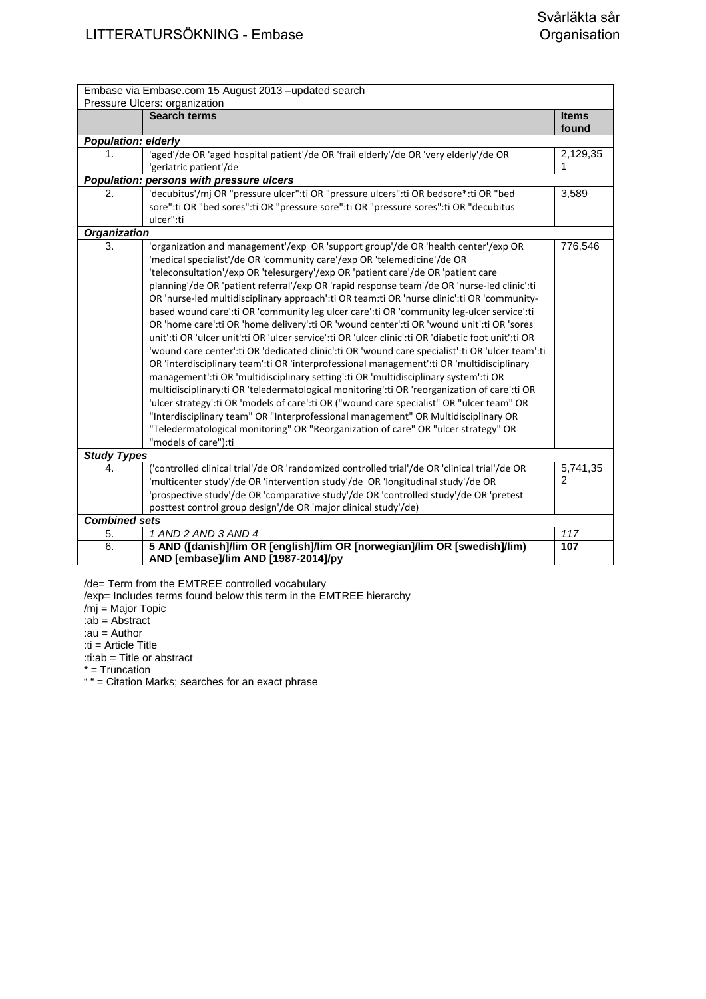| Embase via Embase.com 15 August 2013 -updated search<br>Pressure Ulcers: organization |                                                                                                      |              |
|---------------------------------------------------------------------------------------|------------------------------------------------------------------------------------------------------|--------------|
|                                                                                       | <b>Search terms</b>                                                                                  | <b>Items</b> |
|                                                                                       |                                                                                                      | found        |
| <b>Population: elderly</b>                                                            |                                                                                                      |              |
| 1.                                                                                    | 'aged'/de OR 'aged hospital patient'/de OR 'frail elderly'/de OR 'very elderly'/de OR                | 2,129,35     |
|                                                                                       | 'geriatric patient'/de                                                                               |              |
|                                                                                       | Population: persons with pressure ulcers                                                             |              |
| $\overline{2}$ .                                                                      | 'decubitus'/mj OR "pressure ulcer":ti OR "pressure ulcers":ti OR bedsore*:ti OR "bed                 | 3,589        |
|                                                                                       | sore":ti OR "bed sores":ti OR "pressure sore":ti OR "pressure sores":ti OR "decubitus                |              |
|                                                                                       | ulcer":ti                                                                                            |              |
| <b>Organization</b>                                                                   |                                                                                                      |              |
| 3.                                                                                    | 'organization and management'/exp OR 'support group'/de OR 'health center'/exp OR                    | 776,546      |
|                                                                                       | 'medical specialist'/de OR 'community care'/exp OR 'telemedicine'/de OR                              |              |
|                                                                                       | 'teleconsultation'/exp OR 'telesurgery'/exp OR 'patient care'/de OR 'patient care                    |              |
|                                                                                       | planning'/de OR 'patient referral'/exp OR 'rapid response team'/de OR 'nurse-led clinic':ti          |              |
|                                                                                       | OR 'nurse-led multidisciplinary approach':ti OR team:ti OR 'nurse clinic':ti OR 'community-          |              |
|                                                                                       | based wound care':ti OR 'community leg ulcer care':ti OR 'community leg-ulcer service':ti            |              |
|                                                                                       | OR 'home care':ti OR 'home delivery':ti OR 'wound center':ti OR 'wound unit':ti OR 'sores            |              |
|                                                                                       | unit':ti OR 'ulcer unit':ti OR 'ulcer service':ti OR 'ulcer clinic':ti OR 'diabetic foot unit':ti OR |              |
|                                                                                       | 'wound care center':ti OR 'dedicated clinic':ti OR 'wound care specialist':ti OR 'ulcer team':ti     |              |
|                                                                                       | OR 'interdisciplinary team':ti OR 'interprofessional management':ti OR 'multidisciplinary            |              |
|                                                                                       | management':ti OR 'multidisciplinary setting':ti OR 'multidisciplinary system':ti OR                 |              |
|                                                                                       | multidisciplinary:ti OR 'teledermatological monitoring':ti OR 'reorganization of care':ti OR         |              |
|                                                                                       | 'ulcer strategy':ti OR 'models of care':ti OR ("wound care specialist" OR "ulcer team" OR            |              |
|                                                                                       | "Interdisciplinary team" OR "Interprofessional management" OR Multidisciplinary OR                   |              |
|                                                                                       | "Teledermatological monitoring" OR "Reorganization of care" OR "ulcer strategy" OR                   |              |
|                                                                                       | "models of care"):ti                                                                                 |              |
| <b>Study Types</b>                                                                    |                                                                                                      |              |
| 4.                                                                                    | ('controlled clinical trial'/de OR 'randomized controlled trial'/de OR 'clinical trial'/de OR        | 5,741,35     |
|                                                                                       | 'multicenter study'/de OR 'intervention study'/de OR 'longitudinal study'/de OR                      | 2            |
|                                                                                       | 'prospective study'/de OR 'comparative study'/de OR 'controlled study'/de OR 'pretest                |              |
|                                                                                       | posttest control group design'/de OR 'major clinical study'/de)                                      |              |
| <b>Combined sets</b>                                                                  |                                                                                                      |              |
| 5.                                                                                    | 1 AND 2 AND 3 AND 4                                                                                  | 117          |
| $\overline{6}$ .                                                                      | 5 AND ([danish]/lim OR [english]/lim OR [norwegian]/lim OR [swedish]/lim)                            | 107          |
|                                                                                       | AND [embase]/lim AND [1987-2014]/py                                                                  |              |
|                                                                                       |                                                                                                      |              |

/de= Term from the EMTREE controlled vocabulary

/exp= Includes terms found below this term in the EMTREE hierarchy

/mj = Major Topic

:ab = Abstract :au = Author

:ti = Article Title

:ti:ab = Title or abstract

\* = Truncation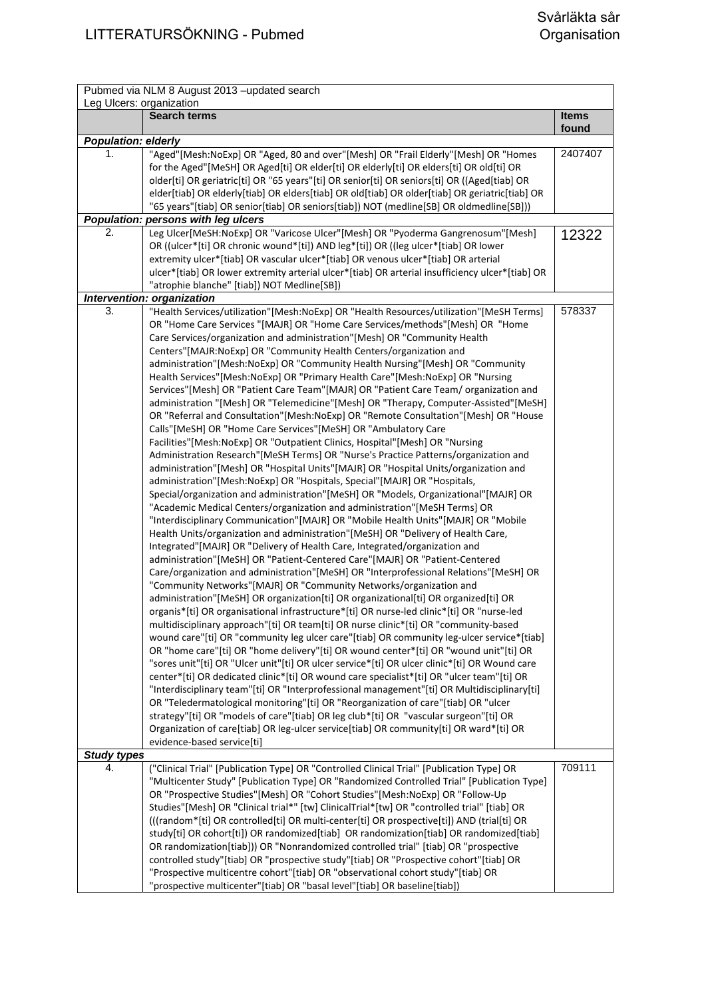|                            | Pubmed via NLM 8 August 2013 - updated search                                                                                                                                                  |              |
|----------------------------|------------------------------------------------------------------------------------------------------------------------------------------------------------------------------------------------|--------------|
| Leg Ulcers: organization   | <b>Search terms</b>                                                                                                                                                                            | <b>Items</b> |
|                            |                                                                                                                                                                                                | found        |
| <b>Population: elderly</b> |                                                                                                                                                                                                |              |
| 1.                         | "Aged"[Mesh:NoExp] OR "Aged, 80 and over"[Mesh] OR "Frail Elderly"[Mesh] OR "Homes                                                                                                             | 2407407      |
|                            | for the Aged"[MeSH] OR Aged[ti] OR elder[ti] OR elderly[ti] OR elders[ti] OR old[ti] OR                                                                                                        |              |
|                            | older[ti] OR geriatric[ti] OR "65 years"[ti] OR senior[ti] OR seniors[ti] OR ((Aged[tiab] OR<br>elder[tiab] OR elderly[tiab] OR elders[tiab] OR old[tiab] OR older[tiab] OR geriatric[tiab] OR |              |
|                            | "65 years"[tiab] OR senior[tiab] OR seniors[tiab]) NOT (medline[SB] OR oldmedline[SB]))                                                                                                        |              |
|                            | Population: persons with leg ulcers                                                                                                                                                            |              |
| 2.                         | Leg Ulcer[MeSH:NoExp] OR "Varicose Ulcer"[Mesh] OR "Pyoderma Gangrenosum"[Mesh]                                                                                                                | 12322        |
|                            | OR ((ulcer*[ti] OR chronic wound*[ti]) AND leg*[ti]) OR ((leg ulcer*[tiab] OR lower                                                                                                            |              |
|                            | extremity ulcer*[tiab] OR vascular ulcer*[tiab] OR venous ulcer*[tiab] OR arterial                                                                                                             |              |
|                            | ulcer*[tiab] OR lower extremity arterial ulcer*[tiab] OR arterial insufficiency ulcer*[tiab] OR                                                                                                |              |
|                            | "atrophie blanche" [tiab]) NOT Medline[SB])                                                                                                                                                    |              |
| 3.                         | Intervention: organization<br>"Health Services/utilization"[Mesh:NoExp] OR "Health Resources/utilization"[MeSH Terms]                                                                          | 578337       |
|                            | OR "Home Care Services "[MAJR] OR "Home Care Services/methods"[Mesh] OR "Home                                                                                                                  |              |
|                            | Care Services/organization and administration"[Mesh] OR "Community Health                                                                                                                      |              |
|                            | Centers"[MAJR:NoExp] OR "Community Health Centers/organization and                                                                                                                             |              |
|                            | administration"[Mesh:NoExp] OR "Community Health Nursing"[Mesh] OR "Community                                                                                                                  |              |
|                            | Health Services"[Mesh:NoExp] OR "Primary Health Care"[Mesh:NoExp] OR "Nursing                                                                                                                  |              |
|                            | Services" [Mesh] OR "Patient Care Team" [MAJR] OR "Patient Care Team/ organization and                                                                                                         |              |
|                            | administration "[Mesh] OR "Telemedicine"[Mesh] OR "Therapy, Computer-Assisted"[MeSH]                                                                                                           |              |
|                            | OR "Referral and Consultation"[Mesh:NoExp] OR "Remote Consultation"[Mesh] OR "House                                                                                                            |              |
|                            | Calls"[MeSH] OR "Home Care Services"[MeSH] OR "Ambulatory Care<br>Facilities"[Mesh:NoExp] OR "Outpatient Clinics, Hospital"[Mesh] OR "Nursing                                                  |              |
|                            | Administration Research"[MeSH Terms] OR "Nurse's Practice Patterns/organization and                                                                                                            |              |
|                            | administration"[Mesh] OR "Hospital Units"[MAJR] OR "Hospital Units/organization and                                                                                                            |              |
|                            | administration"[Mesh:NoExp] OR "Hospitals, Special"[MAJR] OR "Hospitals,                                                                                                                       |              |
|                            | Special/organization and administration"[MeSH] OR "Models, Organizational"[MAJR] OR                                                                                                            |              |
|                            | "Academic Medical Centers/organization and administration"[MeSH Terms] OR                                                                                                                      |              |
|                            | "Interdisciplinary Communication"[MAJR] OR "Mobile Health Units"[MAJR] OR "Mobile                                                                                                              |              |
|                            | Health Units/organization and administration"[MeSH] OR "Delivery of Health Care,                                                                                                               |              |
|                            | Integrated"[MAJR] OR "Delivery of Health Care, Integrated/organization and                                                                                                                     |              |
|                            | administration"[MeSH] OR "Patient-Centered Care"[MAJR] OR "Patient-Centered                                                                                                                    |              |
|                            | Care/organization and administration"[MeSH] OR "Interprofessional Relations"[MeSH] OR<br>"Community Networks"[MAJR] OR "Community Networks/organization and                                    |              |
|                            | administration"[MeSH] OR organization[ti] OR organizational[ti] OR organized[ti] OR                                                                                                            |              |
|                            | organis*[ti] OR organisational infrastructure*[ti] OR nurse-led clinic*[ti] OR "nurse-led                                                                                                      |              |
|                            | multidisciplinary approach"[ti] OR team[ti] OR nurse clinic*[ti] OR "community-based                                                                                                           |              |
|                            | wound care"[ti] OR "community leg ulcer care"[tiab] OR community leg-ulcer service*[tiab]                                                                                                      |              |
|                            | OR "home care"[ti] OR "home delivery"[ti] OR wound center*[ti] OR "wound unit"[ti] OR                                                                                                          |              |
|                            | "sores unit"[ti] OR "Ulcer unit"[ti] OR ulcer service*[ti] OR ulcer clinic*[ti] OR Wound care                                                                                                  |              |
|                            | center*[ti] OR dedicated clinic*[ti] OR wound care specialist*[ti] OR "ulcer team"[ti] OR                                                                                                      |              |
|                            | "Interdisciplinary team"[ti] OR "Interprofessional management"[ti] OR Multidisciplinary[ti]<br>OR "Teledermatological monitoring"[ti] OR "Reorganization of care"[tiab] OR "ulcer              |              |
|                            | strategy"[ti] OR "models of care"[tiab] OR leg club*[ti] OR "vascular surgeon"[ti] OR                                                                                                          |              |
|                            | Organization of care[tiab] OR leg-ulcer service[tiab] OR community[ti] OR ward*[ti] OR                                                                                                         |              |
|                            | evidence-based service[ti]                                                                                                                                                                     |              |
| <b>Study types</b>         |                                                                                                                                                                                                |              |
| 4.                         | ("Clinical Trial" [Publication Type] OR "Controlled Clinical Trial" [Publication Type] OR                                                                                                      | 709111       |
|                            | "Multicenter Study" [Publication Type] OR "Randomized Controlled Trial" [Publication Type]                                                                                                     |              |
|                            | OR "Prospective Studies"[Mesh] OR "Cohort Studies"[Mesh:NoExp] OR "Follow-Up                                                                                                                   |              |
|                            | Studies"[Mesh] OR "Clinical trial*" [tw] ClinicalTrial*[tw] OR "controlled trial" [tiab] OR<br>(((random*[ti] OR controlled[ti] OR multi-center[ti] OR prospective[ti]) AND (trial[ti] OR      |              |
|                            | study[ti] OR cohort[ti]) OR randomized[tiab] OR randomization[tiab] OR randomized[tiab]                                                                                                        |              |
|                            | OR randomization[tiab])) OR "Nonrandomized controlled trial" [tiab] OR "prospective                                                                                                            |              |
|                            | controlled study"[tiab] OR "prospective study"[tiab] OR "Prospective cohort"[tiab] OR                                                                                                          |              |
|                            | "Prospective multicentre cohort"[tiab] OR "observational cohort study"[tiab] OR                                                                                                                |              |
|                            | "prospective multicenter"[tiab] OR "basal level"[tiab] OR baseline[tiab])                                                                                                                      |              |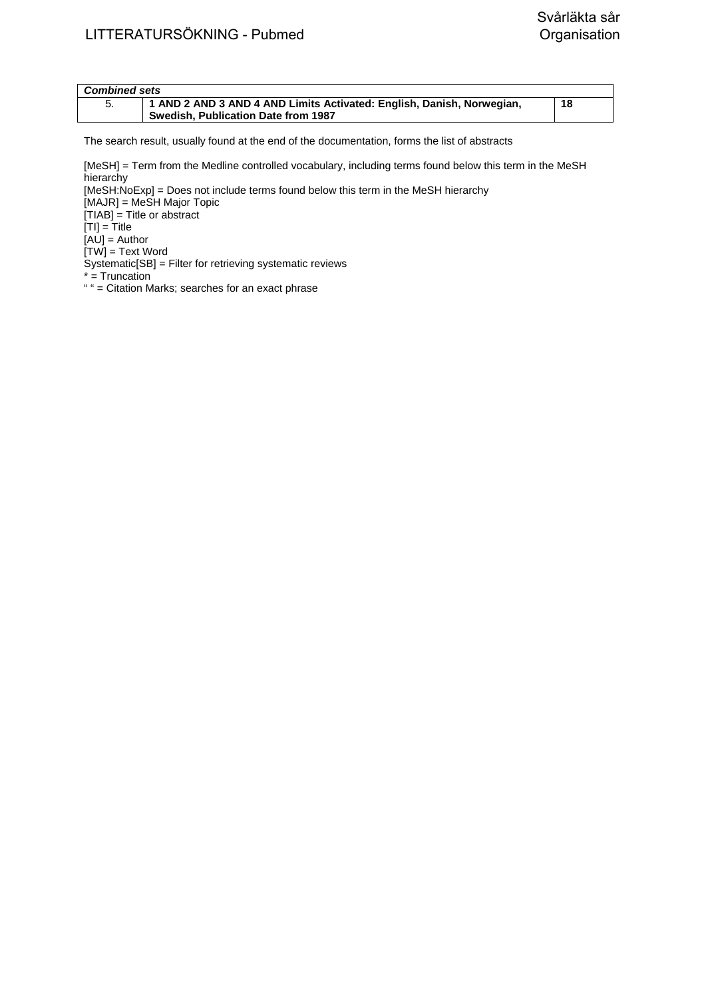| <b>Combined sets</b> |                                                                       |    |
|----------------------|-----------------------------------------------------------------------|----|
|                      | 1 AND 2 AND 3 AND 4 AND Limits Activated: English, Danish, Norwegian, | 18 |
|                      | Swedish, Publication Date from 1987                                   |    |

[MeSH] = Term from the Medline controlled vocabulary, including terms found below this term in the MeSH hierarchy

[MeSH:NoExp] = Does not include terms found below this term in the MeSH hierarchy [MAJR] = MeSH Major Topic [TIAB] = Title or abstract  $[TI] = T$ itle  $[AU]$  = Author  $[TW]$  = Text Word

Systematic[SB] = Filter for retrieving systematic reviews

- \* = Truncation
- " " = Citation Marks; searches for an exact phrase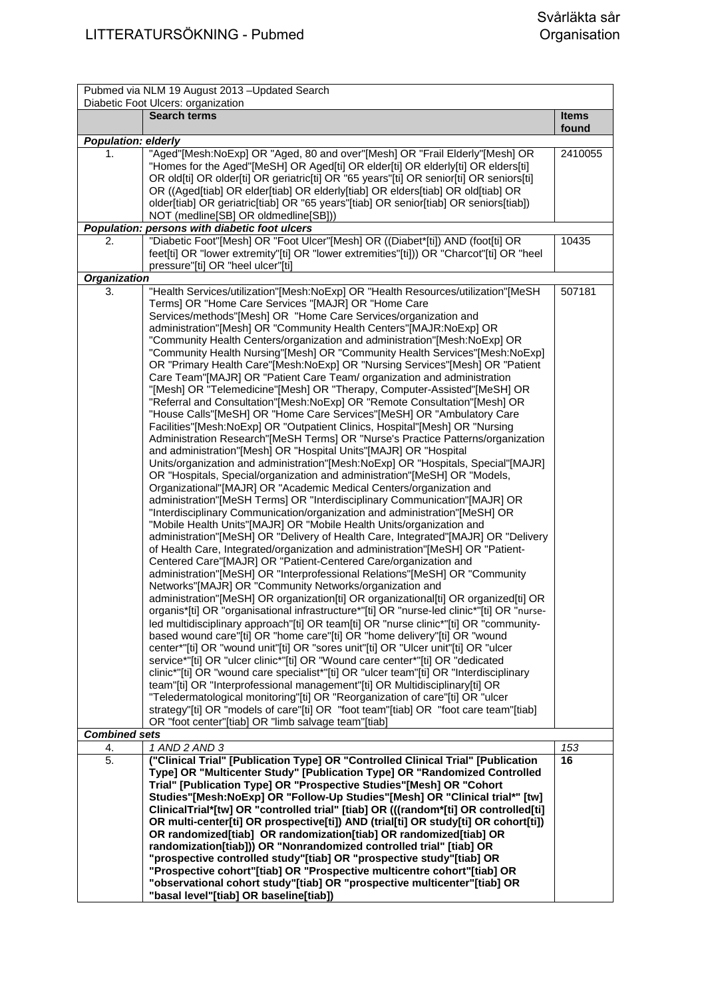| Diabetic Foot Ulcers: organization<br><b>Search terms</b><br><b>Items</b><br>found<br><b>Population: elderly</b><br>"Aged"[Mesh:NoExp] OR "Aged, 80 and over"[Mesh] OR "Frail Elderly"[Mesh] OR<br>1.<br>2410055<br>"Homes for the Aged"[MeSH] OR Aged[ti] OR elder[ti] OR elderly[ti] OR elders[ti]<br>OR old[ti] OR older[ti] OR geriatric[ti] OR "65 years"[ti] OR senior[ti] OR seniors[ti]<br>OR ((Aged[tiab] OR elder[tiab] OR elderly[tiab] OR elders[tiab] OR old[tiab] OR<br>older[tiab] OR geriatric[tiab] OR "65 years"[tiab] OR senior[tiab] OR seniors[tiab])<br>NOT (medline[SB] OR oldmedline[SB]))<br>Population: persons with diabetic foot ulcers<br>"Diabetic Foot"[Mesh] OR "Foot Ulcer"[Mesh] OR ((Diabet*[ti]) AND (foot[ti] OR<br>2.<br>10435<br>feet[ti] OR "lower extremity"[ti] OR "lower extremities"[ti])) OR "Charcot"[ti] OR "heel<br>pressure"[ti] OR "heel ulcer"[ti]<br><b>Organization</b><br>"Health Services/utilization"[Mesh:NoExp] OR "Health Resources/utilization"[MeSH<br>507181<br>3.<br>Terms] OR "Home Care Services "[MAJR] OR "Home Care<br>Services/methods"[Mesh] OR "Home Care Services/organization and<br>administration"[Mesh] OR "Community Health Centers"[MAJR:NoExp] OR<br>"Community Health Centers/organization and administration"[Mesh:NoExp] OR<br>"Community Health Nursing"[Mesh] OR "Community Health Services"[Mesh:NoExp]<br>OR "Primary Health Care"[Mesh:NoExp] OR "Nursing Services"[Mesh] OR "Patient<br>Care Team"[MAJR] OR "Patient Care Team/ organization and administration<br>"[Mesh] OR "Telemedicine"[Mesh] OR "Therapy, Computer-Assisted"[MeSH] OR<br>"Referral and Consultation"[Mesh:NoExp] OR "Remote Consultation"[Mesh] OR<br>"House Calls"[MeSH] OR "Home Care Services"[MeSH] OR "Ambulatory Care<br>Facilities"[Mesh:NoExp] OR "Outpatient Clinics, Hospital"[Mesh] OR "Nursing<br>Administration Research"[MeSH Terms] OR "Nurse's Practice Patterns/organization<br>and administration"[Mesh] OR "Hospital Units"[MAJR] OR "Hospital<br>Units/organization and administration"[Mesh:NoExp] OR "Hospitals, Special"[MAJR]<br>OR "Hospitals, Special/organization and administration"[MeSH] OR "Models,<br>Organizational"[MAJR] OR "Academic Medical Centers/organization and<br>administration"[MeSH Terms] OR "Interdisciplinary Communication"[MAJR] OR<br>"Interdisciplinary Communication/organization and administration"[MeSH] OR<br>"Mobile Health Units"[MAJR] OR "Mobile Health Units/organization and<br>administration"[MeSH] OR "Delivery of Health Care, Integrated"[MAJR] OR "Delivery<br>of Health Care, Integrated/organization and administration"[MeSH] OR "Patient-<br>Centered Care"[MAJR] OR "Patient-Centered Care/organization and<br>administration"[MeSH] OR "Interprofessional Relations"[MeSH] OR "Community<br>Networks"[MAJR] OR "Community Networks/organization and<br>administration"[MeSH] OR organization[ti] OR organizational[ti] OR organized[ti] OR<br>organis*[ti] OR "organisational infrastructure*"[ti] OR "nurse-led clinic*"[ti] OR "nurse-<br>led multidisciplinary approach"[ti] OR team[ti] OR "nurse clinic*"[ti] OR "community-<br>based wound care"[ti] OR "home care"[ti] OR "home delivery"[ti] OR "wound<br>center*"[ti] OR "wound unit"[ti] OR "sores unit"[ti] OR "Ulcer unit"[ti] OR "ulcer<br>service*"[ti] OR "ulcer clinic*"[ti] OR "Wound care center*"[ti] OR "dedicated<br>clinic*"[ti] OR "wound care specialist*"[ti] OR "ulcer team"[ti] OR "Interdisciplinary<br>team"[ti] OR "Interprofessional management"[ti] OR Multidisciplinary[ti] OR<br>"Teledermatological monitoring"[ti] OR "Reorganization of care"[ti] OR "ulcer<br>strategy"[ti] OR "models of care"[ti] OR "foot team"[tiab] OR "foot care team"[tiab]<br>OR "foot center"[tiab] OR "limb salvage team"[tiab]<br><b>Combined sets</b><br>4.<br>1 AND 2 AND 3<br>153<br>("Clinical Trial" [Publication Type] OR "Controlled Clinical Trial" [Publication<br>5.<br>16<br>Type] OR "Multicenter Study" [Publication Type] OR "Randomized Controlled<br>Trial" [Publication Type] OR "Prospective Studies"[Mesh] OR "Cohort<br>Studies"[Mesh:NoExp] OR "Follow-Up Studies"[Mesh] OR "Clinical trial*" [tw]<br>ClinicalTrial*[tw] OR "controlled trial" [tiab] OR (((random*[ti] OR controlled[ti]<br>OR multi-center[ti] OR prospective[ti]) AND (trial[ti] OR study[ti] OR cohort[ti])<br>OR randomized[tiab] OR randomization[tiab] OR randomized[tiab] OR<br>randomization[tiab])) OR "Nonrandomized controlled trial" [tiab] OR<br>"prospective controlled study"[tiab] OR "prospective study"[tiab] OR<br>"Prospective cohort"[tiab] OR "Prospective multicentre cohort"[tiab] OR<br>"observational cohort study"[tiab] OR "prospective multicenter"[tiab] OR | Pubmed via NLM 19 August 2013 - Updated Search |  |
|--------------------------------------------------------------------------------------------------------------------------------------------------------------------------------------------------------------------------------------------------------------------------------------------------------------------------------------------------------------------------------------------------------------------------------------------------------------------------------------------------------------------------------------------------------------------------------------------------------------------------------------------------------------------------------------------------------------------------------------------------------------------------------------------------------------------------------------------------------------------------------------------------------------------------------------------------------------------------------------------------------------------------------------------------------------------------------------------------------------------------------------------------------------------------------------------------------------------------------------------------------------------------------------------------------------------------------------------------------------------------------------------------------------------------------------------------------------------------------------------------------------------------------------------------------------------------------------------------------------------------------------------------------------------------------------------------------------------------------------------------------------------------------------------------------------------------------------------------------------------------------------------------------------------------------------------------------------------------------------------------------------------------------------------------------------------------------------------------------------------------------------------------------------------------------------------------------------------------------------------------------------------------------------------------------------------------------------------------------------------------------------------------------------------------------------------------------------------------------------------------------------------------------------------------------------------------------------------------------------------------------------------------------------------------------------------------------------------------------------------------------------------------------------------------------------------------------------------------------------------------------------------------------------------------------------------------------------------------------------------------------------------------------------------------------------------------------------------------------------------------------------------------------------------------------------------------------------------------------------------------------------------------------------------------------------------------------------------------------------------------------------------------------------------------------------------------------------------------------------------------------------------------------------------------------------------------------------------------------------------------------------------------------------------------------------------------------------------------------------------------------------------------------------------------------------------------------------------------------------------------------------------------------------------------------------------------------------------------------------------------------------------------------------------------------------------------------------------------------------------------------------------------------------------------------------------------------------------------------------------------------------------------------------------------------------------------------------------------------------------------------------------------------------------------------------------------------------------------------------------------------------------------------------------------------------------------------------------------------------------------------------------------------------------------------------------------------------------------------------------------------------------------------------------|------------------------------------------------|--|
|                                                                                                                                                                                                                                                                                                                                                                                                                                                                                                                                                                                                                                                                                                                                                                                                                                                                                                                                                                                                                                                                                                                                                                                                                                                                                                                                                                                                                                                                                                                                                                                                                                                                                                                                                                                                                                                                                                                                                                                                                                                                                                                                                                                                                                                                                                                                                                                                                                                                                                                                                                                                                                                                                                                                                                                                                                                                                                                                                                                                                                                                                                                                                                                                                                                                                                                                                                                                                                                                                                                                                                                                                                                                                                                                                                                                                                                                                                                                                                                                                                                                                                                                                                                                                                                                                                                                                                                                                                                                                                                                                                                                                                                                                                                                                                                            |                                                |  |
|                                                                                                                                                                                                                                                                                                                                                                                                                                                                                                                                                                                                                                                                                                                                                                                                                                                                                                                                                                                                                                                                                                                                                                                                                                                                                                                                                                                                                                                                                                                                                                                                                                                                                                                                                                                                                                                                                                                                                                                                                                                                                                                                                                                                                                                                                                                                                                                                                                                                                                                                                                                                                                                                                                                                                                                                                                                                                                                                                                                                                                                                                                                                                                                                                                                                                                                                                                                                                                                                                                                                                                                                                                                                                                                                                                                                                                                                                                                                                                                                                                                                                                                                                                                                                                                                                                                                                                                                                                                                                                                                                                                                                                                                                                                                                                                            |                                                |  |
|                                                                                                                                                                                                                                                                                                                                                                                                                                                                                                                                                                                                                                                                                                                                                                                                                                                                                                                                                                                                                                                                                                                                                                                                                                                                                                                                                                                                                                                                                                                                                                                                                                                                                                                                                                                                                                                                                                                                                                                                                                                                                                                                                                                                                                                                                                                                                                                                                                                                                                                                                                                                                                                                                                                                                                                                                                                                                                                                                                                                                                                                                                                                                                                                                                                                                                                                                                                                                                                                                                                                                                                                                                                                                                                                                                                                                                                                                                                                                                                                                                                                                                                                                                                                                                                                                                                                                                                                                                                                                                                                                                                                                                                                                                                                                                                            |                                                |  |
|                                                                                                                                                                                                                                                                                                                                                                                                                                                                                                                                                                                                                                                                                                                                                                                                                                                                                                                                                                                                                                                                                                                                                                                                                                                                                                                                                                                                                                                                                                                                                                                                                                                                                                                                                                                                                                                                                                                                                                                                                                                                                                                                                                                                                                                                                                                                                                                                                                                                                                                                                                                                                                                                                                                                                                                                                                                                                                                                                                                                                                                                                                                                                                                                                                                                                                                                                                                                                                                                                                                                                                                                                                                                                                                                                                                                                                                                                                                                                                                                                                                                                                                                                                                                                                                                                                                                                                                                                                                                                                                                                                                                                                                                                                                                                                                            |                                                |  |
|                                                                                                                                                                                                                                                                                                                                                                                                                                                                                                                                                                                                                                                                                                                                                                                                                                                                                                                                                                                                                                                                                                                                                                                                                                                                                                                                                                                                                                                                                                                                                                                                                                                                                                                                                                                                                                                                                                                                                                                                                                                                                                                                                                                                                                                                                                                                                                                                                                                                                                                                                                                                                                                                                                                                                                                                                                                                                                                                                                                                                                                                                                                                                                                                                                                                                                                                                                                                                                                                                                                                                                                                                                                                                                                                                                                                                                                                                                                                                                                                                                                                                                                                                                                                                                                                                                                                                                                                                                                                                                                                                                                                                                                                                                                                                                                            |                                                |  |
|                                                                                                                                                                                                                                                                                                                                                                                                                                                                                                                                                                                                                                                                                                                                                                                                                                                                                                                                                                                                                                                                                                                                                                                                                                                                                                                                                                                                                                                                                                                                                                                                                                                                                                                                                                                                                                                                                                                                                                                                                                                                                                                                                                                                                                                                                                                                                                                                                                                                                                                                                                                                                                                                                                                                                                                                                                                                                                                                                                                                                                                                                                                                                                                                                                                                                                                                                                                                                                                                                                                                                                                                                                                                                                                                                                                                                                                                                                                                                                                                                                                                                                                                                                                                                                                                                                                                                                                                                                                                                                                                                                                                                                                                                                                                                                                            |                                                |  |
|                                                                                                                                                                                                                                                                                                                                                                                                                                                                                                                                                                                                                                                                                                                                                                                                                                                                                                                                                                                                                                                                                                                                                                                                                                                                                                                                                                                                                                                                                                                                                                                                                                                                                                                                                                                                                                                                                                                                                                                                                                                                                                                                                                                                                                                                                                                                                                                                                                                                                                                                                                                                                                                                                                                                                                                                                                                                                                                                                                                                                                                                                                                                                                                                                                                                                                                                                                                                                                                                                                                                                                                                                                                                                                                                                                                                                                                                                                                                                                                                                                                                                                                                                                                                                                                                                                                                                                                                                                                                                                                                                                                                                                                                                                                                                                                            |                                                |  |
|                                                                                                                                                                                                                                                                                                                                                                                                                                                                                                                                                                                                                                                                                                                                                                                                                                                                                                                                                                                                                                                                                                                                                                                                                                                                                                                                                                                                                                                                                                                                                                                                                                                                                                                                                                                                                                                                                                                                                                                                                                                                                                                                                                                                                                                                                                                                                                                                                                                                                                                                                                                                                                                                                                                                                                                                                                                                                                                                                                                                                                                                                                                                                                                                                                                                                                                                                                                                                                                                                                                                                                                                                                                                                                                                                                                                                                                                                                                                                                                                                                                                                                                                                                                                                                                                                                                                                                                                                                                                                                                                                                                                                                                                                                                                                                                            |                                                |  |
|                                                                                                                                                                                                                                                                                                                                                                                                                                                                                                                                                                                                                                                                                                                                                                                                                                                                                                                                                                                                                                                                                                                                                                                                                                                                                                                                                                                                                                                                                                                                                                                                                                                                                                                                                                                                                                                                                                                                                                                                                                                                                                                                                                                                                                                                                                                                                                                                                                                                                                                                                                                                                                                                                                                                                                                                                                                                                                                                                                                                                                                                                                                                                                                                                                                                                                                                                                                                                                                                                                                                                                                                                                                                                                                                                                                                                                                                                                                                                                                                                                                                                                                                                                                                                                                                                                                                                                                                                                                                                                                                                                                                                                                                                                                                                                                            |                                                |  |
|                                                                                                                                                                                                                                                                                                                                                                                                                                                                                                                                                                                                                                                                                                                                                                                                                                                                                                                                                                                                                                                                                                                                                                                                                                                                                                                                                                                                                                                                                                                                                                                                                                                                                                                                                                                                                                                                                                                                                                                                                                                                                                                                                                                                                                                                                                                                                                                                                                                                                                                                                                                                                                                                                                                                                                                                                                                                                                                                                                                                                                                                                                                                                                                                                                                                                                                                                                                                                                                                                                                                                                                                                                                                                                                                                                                                                                                                                                                                                                                                                                                                                                                                                                                                                                                                                                                                                                                                                                                                                                                                                                                                                                                                                                                                                                                            |                                                |  |
| "basal level"[tiab] OR baseline[tiab])                                                                                                                                                                                                                                                                                                                                                                                                                                                                                                                                                                                                                                                                                                                                                                                                                                                                                                                                                                                                                                                                                                                                                                                                                                                                                                                                                                                                                                                                                                                                                                                                                                                                                                                                                                                                                                                                                                                                                                                                                                                                                                                                                                                                                                                                                                                                                                                                                                                                                                                                                                                                                                                                                                                                                                                                                                                                                                                                                                                                                                                                                                                                                                                                                                                                                                                                                                                                                                                                                                                                                                                                                                                                                                                                                                                                                                                                                                                                                                                                                                                                                                                                                                                                                                                                                                                                                                                                                                                                                                                                                                                                                                                                                                                                                     |                                                |  |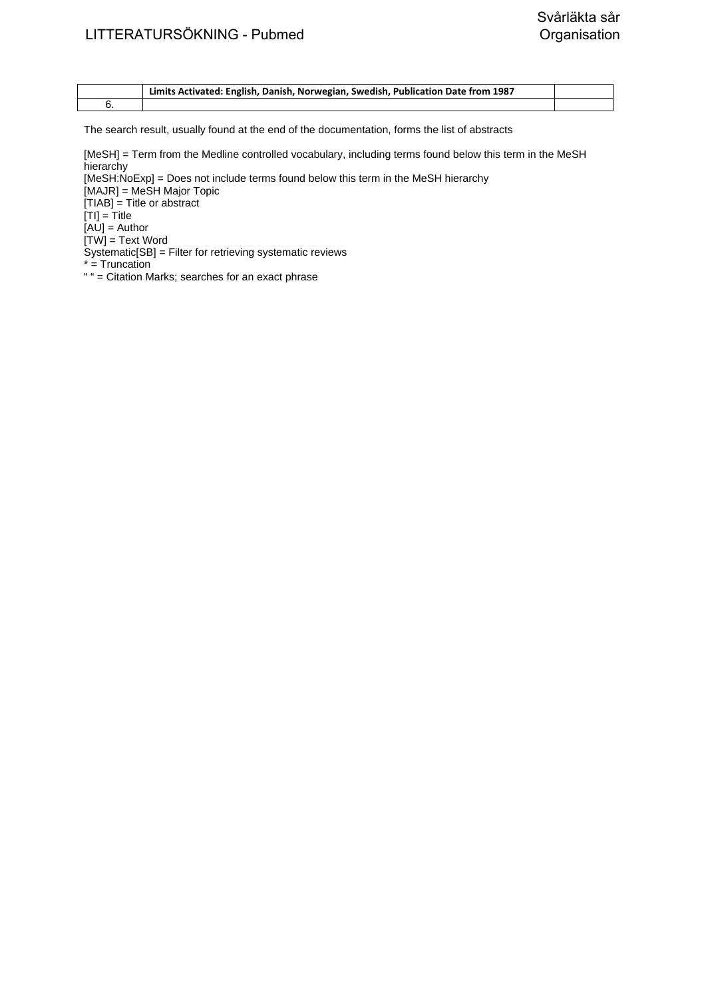| Limits Activated: English, Danish, Norwegian, Swedish, Publication Date from 1987 |  |
|-----------------------------------------------------------------------------------|--|
|                                                                                   |  |

[MeSH] = Term from the Medline controlled vocabulary, including terms found below this term in the MeSH hierarchy

[MeSH:NoExp] = Does not include terms found below this term in the MeSH hierarchy

[MAJR] = MeSH Major Topic

[TIAB] = Title or abstract

 $|T| = T$ itle

 $[AU]$  = Author

 $[TW] = Text Word$ 

Systematic[SB] = Filter for retrieving systematic reviews

\* = Truncation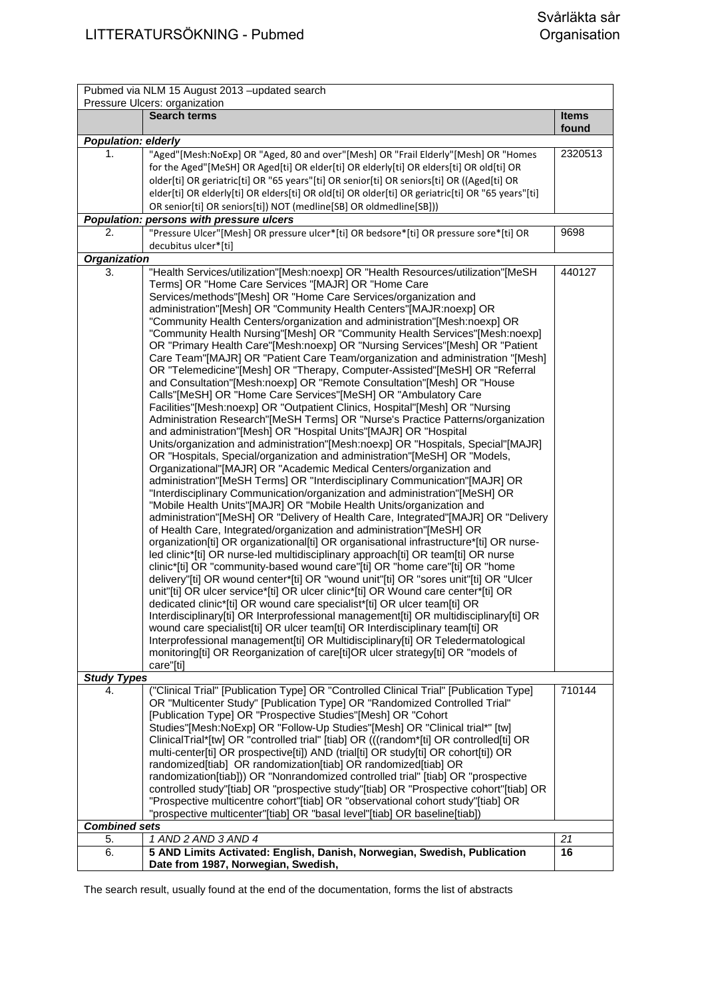|                            | Pubmed via NLM 15 August 2013 -updated search                                                                  |                       |  |
|----------------------------|----------------------------------------------------------------------------------------------------------------|-----------------------|--|
|                            | Pressure Ulcers: organization                                                                                  |                       |  |
|                            | <b>Search terms</b>                                                                                            | <b>Items</b><br>found |  |
| <b>Population: elderly</b> |                                                                                                                |                       |  |
| 1.                         | "Aged"[Mesh:NoExp] OR "Aged, 80 and over"[Mesh] OR "Frail Elderly"[Mesh] OR "Homes                             | 2320513               |  |
|                            | for the Aged"[MeSH] OR Aged[ti] OR elder[ti] OR elderly[ti] OR elders[ti] OR old[ti] OR                        |                       |  |
|                            | older[ti] OR geriatric[ti] OR "65 years"[ti] OR senior[ti] OR seniors[ti] OR ((Aged[ti] OR                     |                       |  |
|                            | elder[ti] OR elderly[ti] OR elders[ti] OR old[ti] OR older[ti] OR geriatric[ti] OR "65 years"[ti]              |                       |  |
|                            | OR senior[ti] OR seniors[ti]) NOT (medline[SB] OR oldmedline[SB]))                                             |                       |  |
|                            | Population: persons with pressure ulcers                                                                       |                       |  |
| 2.                         | "Pressure Ulcer"[Mesh] OR pressure ulcer*[ti] OR bedsore*[ti] OR pressure sore*[ti] OR<br>decubitus ulcer*[ti] | 9698                  |  |
| <b>Organization</b>        |                                                                                                                |                       |  |
| 3.                         | "Health Services/utilization"[Mesh:noexp] OR "Health Resources/utilization"[MeSH                               | 440127                |  |
|                            | Terms] OR "Home Care Services "[MAJR] OR "Home Care                                                            |                       |  |
|                            | Services/methods"[Mesh] OR "Home Care Services/organization and                                                |                       |  |
|                            | administration"[Mesh] OR "Community Health Centers"[MAJR:noexp] OR                                             |                       |  |
|                            | "Community Health Centers/organization and administration"[Mesh:noexp] OR                                      |                       |  |
|                            | "Community Health Nursing"[Mesh] OR "Community Health Services"[Mesh:noexp]                                    |                       |  |
|                            | OR "Primary Health Care"[Mesh:noexp] OR "Nursing Services"[Mesh] OR "Patient                                   |                       |  |
|                            | Care Team"[MAJR] OR "Patient Care Team/organization and administration "[Mesh]                                 |                       |  |
|                            | OR "Telemedicine"[Mesh] OR "Therapy, Computer-Assisted"[MeSH] OR "Referral                                     |                       |  |
|                            | and Consultation"[Mesh:noexp] OR "Remote Consultation"[Mesh] OR "House                                         |                       |  |
|                            | Calls"[MeSH] OR "Home Care Services"[MeSH] OR "Ambulatory Care                                                 |                       |  |
|                            | Facilities"[Mesh:noexp] OR "Outpatient Clinics, Hospital"[Mesh] OR "Nursing                                    |                       |  |
|                            | Administration Research"[MeSH Terms] OR "Nurse's Practice Patterns/organization                                |                       |  |
|                            | and administration"[Mesh] OR "Hospital Units"[MAJR] OR "Hospital                                               |                       |  |
|                            | Units/organization and administration"[Mesh:noexp] OR "Hospitals, Special"[MAJR]                               |                       |  |
|                            | OR "Hospitals, Special/organization and administration"[MeSH] OR "Models,                                      |                       |  |
|                            | Organizational"[MAJR] OR "Academic Medical Centers/organization and                                            |                       |  |
|                            | administration"[MeSH Terms] OR "Interdisciplinary Communication"[MAJR] OR                                      |                       |  |
|                            | "Interdisciplinary Communication/organization and administration"[MeSH] OR                                     |                       |  |
|                            | "Mobile Health Units"[MAJR] OR "Mobile Health Units/organization and                                           |                       |  |
|                            | administration"[MeSH] OR "Delivery of Health Care, Integrated"[MAJR] OR "Delivery                              |                       |  |
|                            | of Health Care, Integrated/organization and administration"[MeSH] OR                                           |                       |  |
|                            | organization[ti] OR organizational[ti] OR organisational infrastructure*[ti] OR nurse-                         |                       |  |
|                            | led clinic*[ti] OR nurse-led multidisciplinary approach[ti] OR team[ti] OR nurse                               |                       |  |
|                            | clinic*[ti] OR "community-based wound care"[ti] OR "home care"[ti] OR "home                                    |                       |  |
|                            | delivery"[ti] OR wound center*[ti] OR "wound unit"[ti] OR "sores unit"[ti] OR "Ulcer                           |                       |  |
|                            | unit"[ti] OR ulcer service*[ti] OR ulcer clinic*[ti] OR Wound care center*[ti] OR                              |                       |  |
|                            | dedicated clinic*[ti] OR wound care specialist*[ti] OR ulcer team[ti] OR                                       |                       |  |
|                            | Interdisciplinary[ti] OR Interprofessional management[ti] OR multidisciplinary[ti] OR                          |                       |  |
|                            | wound care specialist[ti] OR ulcer team[ti] OR Interdisciplinary team[ti] OR                                   |                       |  |
|                            | Interprofessional management[ti] OR Multidisciplinary[ti] OR Teledermatological                                |                       |  |
|                            | monitoring[ti] OR Reorganization of care[ti]OR ulcer strategy[ti] OR "models of                                |                       |  |
|                            | care"[ti]                                                                                                      |                       |  |
| <b>Study Types</b>         |                                                                                                                |                       |  |
| 4.                         | ("Clinical Trial" [Publication Type] OR "Controlled Clinical Trial" [Publication Type]                         | 710144                |  |
|                            | OR "Multicenter Study" [Publication Type] OR "Randomized Controlled Trial"                                     |                       |  |
|                            | [Publication Type] OR "Prospective Studies"[Mesh] OR "Cohort                                                   |                       |  |
|                            | Studies"[Mesh:NoExp] OR "Follow-Up Studies"[Mesh] OR "Clinical trial*" [tw]                                    |                       |  |
|                            | ClinicalTrial*[tw] OR "controlled trial" [tiab] OR (((random*[ti] OR controlled[ti] OR                         |                       |  |
|                            | multi-center[ti] OR prospective[ti]) AND (trial[ti] OR study[ti] OR cohort[ti]) OR                             |                       |  |
|                            | randomized[tiab] OR randomization[tiab] OR randomized[tiab] OR                                                 |                       |  |
|                            | randomization[tiab])) OR "Nonrandomized controlled trial" [tiab] OR "prospective                               |                       |  |
|                            | controlled study"[tiab] OR "prospective study"[tiab] OR "Prospective cohort"[tiab] OR                          |                       |  |
|                            | "Prospective multicentre cohort"[tiab] OR "observational cohort study"[tiab] OR                                |                       |  |
|                            | "prospective multicenter"[tiab] OR "basal level"[tiab] OR baseline[tiab])                                      |                       |  |
| <b>Combined sets</b>       |                                                                                                                |                       |  |
| 5.<br>6.                   | 1 AND 2 AND 3 AND 4<br>5 AND Limits Activated: English, Danish, Norwegian, Swedish, Publication                | 21<br>16              |  |
|                            | Date from 1987, Norwegian, Swedish,                                                                            |                       |  |
|                            |                                                                                                                |                       |  |